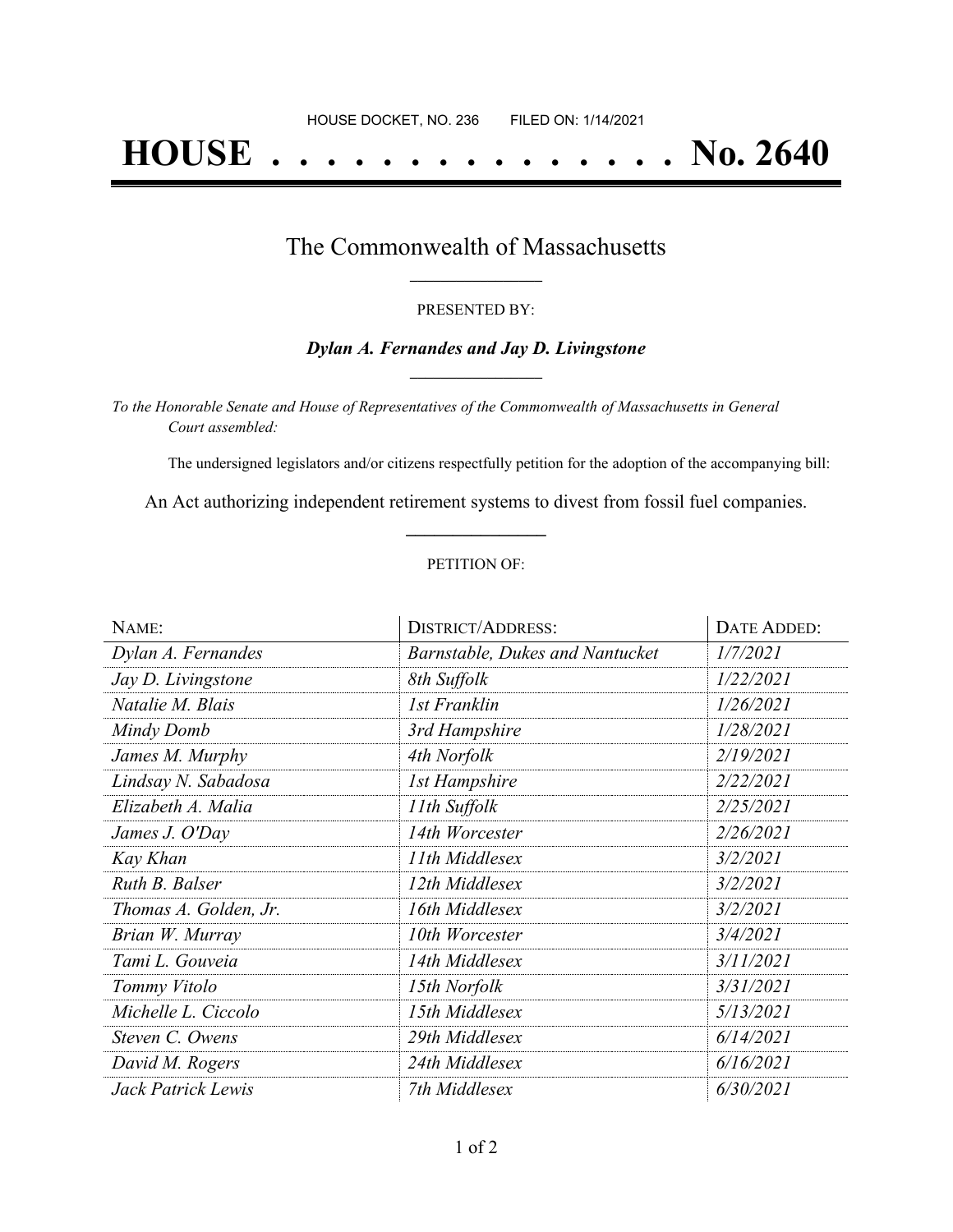# **HOUSE . . . . . . . . . . . . . . . No. 2640**

### The Commonwealth of Massachusetts **\_\_\_\_\_\_\_\_\_\_\_\_\_\_\_\_\_**

#### PRESENTED BY:

#### *Dylan A. Fernandes and Jay D. Livingstone* **\_\_\_\_\_\_\_\_\_\_\_\_\_\_\_\_\_**

*To the Honorable Senate and House of Representatives of the Commonwealth of Massachusetts in General Court assembled:*

The undersigned legislators and/or citizens respectfully petition for the adoption of the accompanying bill:

An Act authorizing independent retirement systems to divest from fossil fuel companies. **\_\_\_\_\_\_\_\_\_\_\_\_\_\_\_**

#### PETITION OF:

| NAME:                 | <b>DISTRICT/ADDRESS:</b>        | <b>DATE ADDED:</b> |
|-----------------------|---------------------------------|--------------------|
| Dylan A. Fernandes    | Barnstable, Dukes and Nantucket | 1/7/2021           |
| Jay D. Livingstone    | 8th Suffolk                     | 1/22/2021          |
| Natalie M. Blais      | 1st Franklin                    | 1/26/2021          |
| Mindy Domb            | 3rd Hampshire                   | 1/28/2021          |
| James M. Murphy       | 4th Norfolk                     | 2/19/2021          |
| Lindsay N. Sabadosa   | <b>1st Hampshire</b>            | 2/22/2021          |
| Elizabeth A. Malia    | 11th Suffolk                    | 2/25/2021          |
| James J. O'Day        | 14th Worcester                  | 2/26/2021          |
| Kay Khan              | 11th Middlesex                  | 3/2/2021           |
| Ruth B. Balser        | 12th Middlesex                  | 3/2/2021           |
| Thomas A. Golden, Jr. | 16th Middlesex                  | 3/2/2021           |
| Brian W. Murray       | 10th Worcester                  | 3/4/2021           |
| Tami L. Gouveia       | 14th Middlesex                  | 3/11/2021          |
| Tommy Vitolo          | 15th Norfolk                    | 3/31/2021          |
| Michelle L. Ciccolo   | 15th Middlesex                  | 5/13/2021          |
| Steven C. Owens       | 29th Middlesex                  | 6/14/2021          |
| David M. Rogers       | 24th Middlesex                  | 6/16/2021          |
| Jack Patrick Lewis    | 7th Middlesex                   | 6/30/2021          |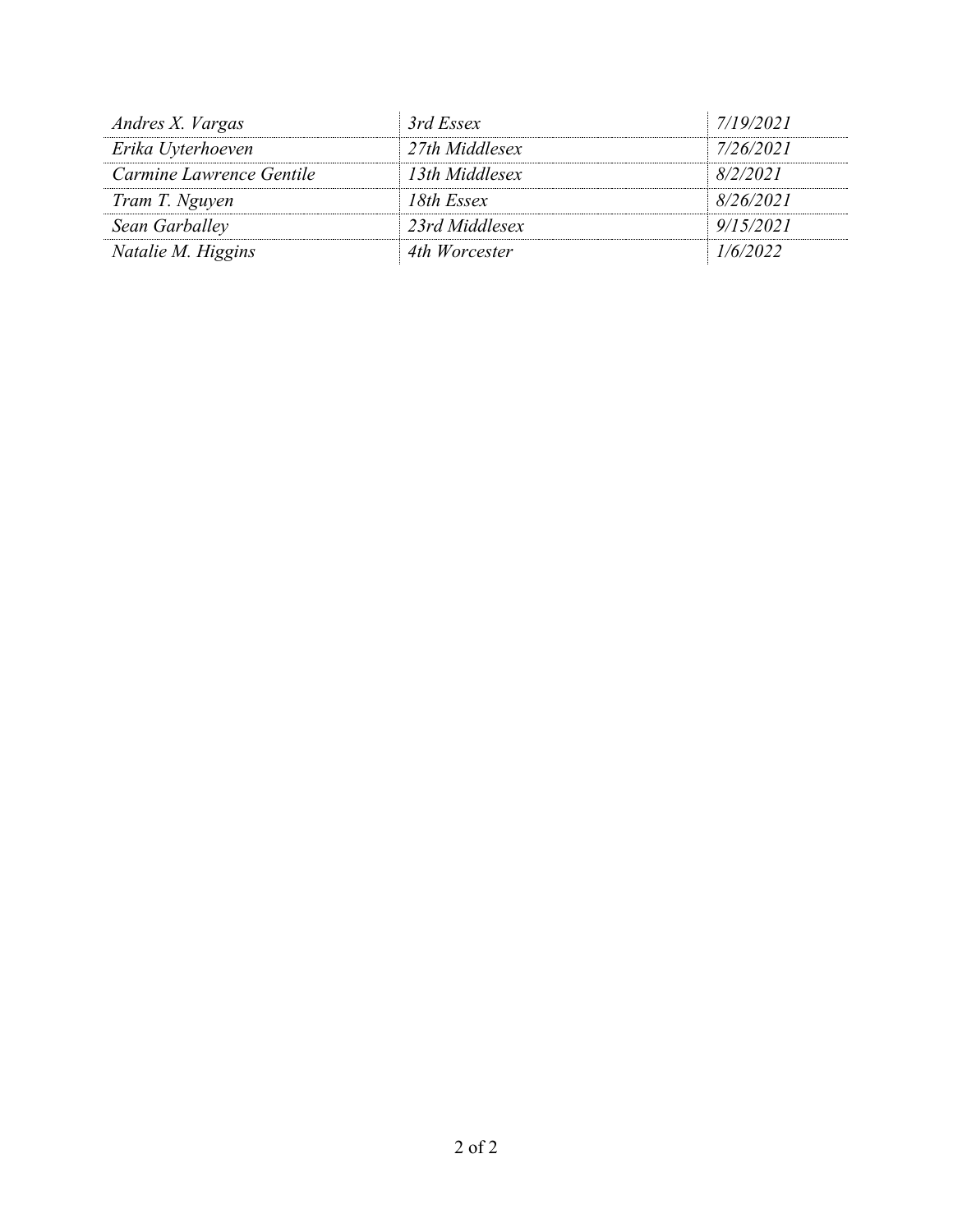| Andres X. Vargas         | 3rd Essex      | 7/19/2021 |
|--------------------------|----------------|-----------|
| Erika Uyterhoeven        | 27th Middlesex | 7/26/2021 |
| Carmine Lawrence Gentile | 13th Middlesex | 8/2/2021  |
| Tram T. Nguyen           | 18th Essex     | 8/26/2021 |
| Sean Garballey           | 23rd Middlesex | 9/15/2021 |
| Natalie M. Higgins       | 4th Worcester  | 1/6/2022  |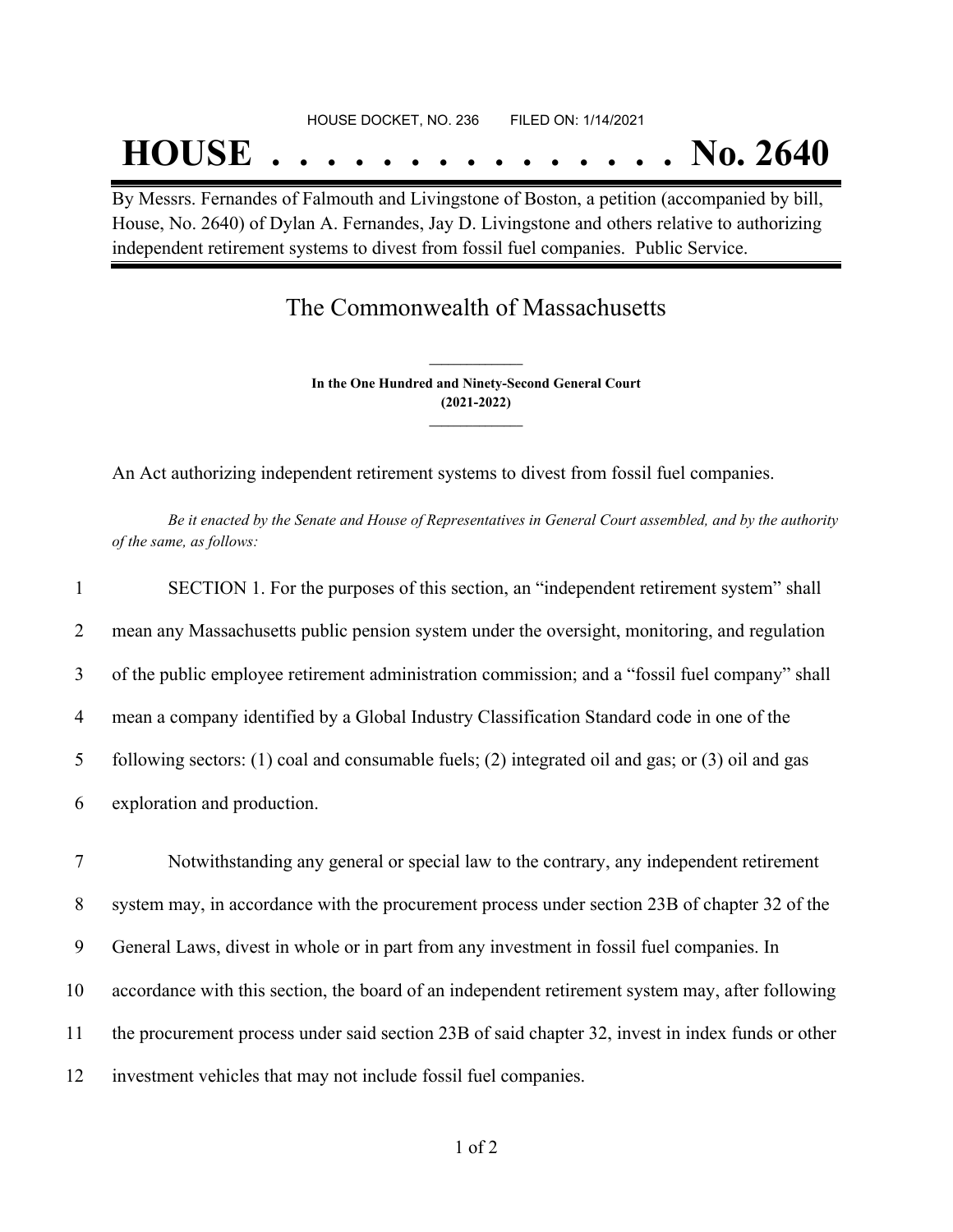## HOUSE DOCKET, NO. 236 FILED ON: 1/14/2021

# **HOUSE . . . . . . . . . . . . . . . No. 2640**

By Messrs. Fernandes of Falmouth and Livingstone of Boston, a petition (accompanied by bill, House, No. 2640) of Dylan A. Fernandes, Jay D. Livingstone and others relative to authorizing independent retirement systems to divest from fossil fuel companies. Public Service.

### The Commonwealth of Massachusetts

**In the One Hundred and Ninety-Second General Court (2021-2022) \_\_\_\_\_\_\_\_\_\_\_\_\_\_\_**

**\_\_\_\_\_\_\_\_\_\_\_\_\_\_\_**

An Act authorizing independent retirement systems to divest from fossil fuel companies.

Be it enacted by the Senate and House of Representatives in General Court assembled, and by the authority *of the same, as follows:*

| $\mathbf{1}$   | SECTION 1. For the purposes of this section, an "independent retirement system" shall                  |
|----------------|--------------------------------------------------------------------------------------------------------|
| $\overline{2}$ | mean any Massachusetts public pension system under the oversight, monitoring, and regulation           |
| 3              | of the public employee retirement administration commission; and a "fossil fuel company" shall         |
| $\overline{4}$ | mean a company identified by a Global Industry Classification Standard code in one of the              |
| 5              | following sectors: $(1)$ coal and consumable fuels; $(2)$ integrated oil and gas; or $(3)$ oil and gas |
| 6              | exploration and production.                                                                            |

 Notwithstanding any general or special law to the contrary, any independent retirement system may, in accordance with the procurement process under section 23B of chapter 32 of the General Laws, divest in whole or in part from any investment in fossil fuel companies. In accordance with this section, the board of an independent retirement system may, after following the procurement process under said section 23B of said chapter 32, invest in index funds or other investment vehicles that may not include fossil fuel companies.